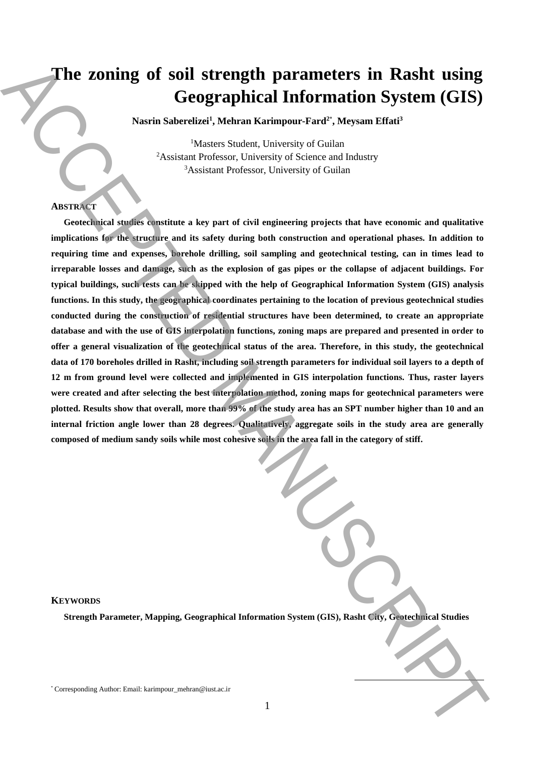# **The zoning of soil strength parameters in Rasht using Geographical Information System (GIS)**

**Nasrin Saberelizei<sup>1</sup> , Mehran Karimpour-Fard<sup>2</sup>**\* **, Meysam Effati<sup>3</sup>**

<sup>1</sup>Masters Student, University of Guilan <sup>2</sup>Assistant Professor, University of Science and Industry <sup>3</sup>Assistant Professor, University of Guilan

## **ABSTRACT**

**Geotechnical studies constitute a key part of civil engineering projects that have economic and qualitative implications for the structure and its safety during both construction and operational phases. In addition to requiring time and expenses, borehole drilling, soil sampling and geotechnical testing, can in times lead to** irreparable losses and damage, such as the explosion of gas pipes or the collapse of adjacent buildings. For **typical buildings, such tests can be skipped with the help of Geographical Information System (GIS) analysis functions. In this study, the geographical coordinates pertaining to the location of previous geotechnical studies conducted during the construction of residential structures have been determined, to create an appropriate** database and with the use of GIS interpolation functions, zoning maps are prepared and presented in order to offer a general visualization of the geotechnical status of the area. Therefore, in this study, the geotechnical data of 170 boreholes drilled in Rasht, including soil strength parameters for individual soil layers to a depth of **12 m from ground level were collected and implemented in GIS interpolation functions. Thus, raster layers were created and after selecting the best interpolation method, zoning maps for geotechnical parameters were** plotted. Results show that overall, more than 99% of the study area has an SPT number higher than 10 and an **internal friction angle lower than 28 degrees. Qualitatively, aggregate soils in the study area are generally** composed of medium sandy soils while most cohesive soils in the area fall in the category of stiff. The zoning of soil strength parameters in Rasht using<br>
Geographical Information System (GIS)<br>
Nacia Solventich Metamoration System attack<br>
Nacia Solventic System at the strength of Nacia Solventic System and Indice<br>
Nacis

#### **KEYWORDS**

**Strength Parameter, Mapping, Geographical Information System (GIS), Rasht City, Geotechnical Studies**

1

<sup>\*</sup> Corresponding Author: Email: karimpour\_mehran@iust.ac.ir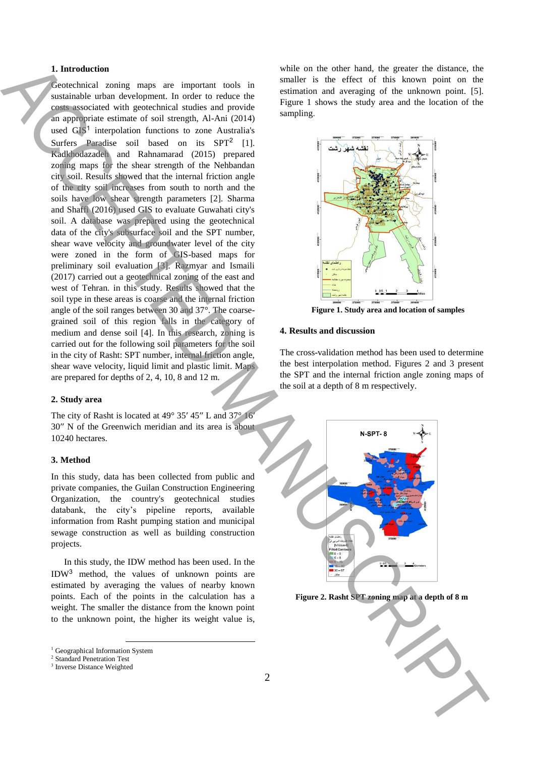### **1. Introduction**

Geotechnical zoning maps are important tools in sustainable urban development. In order to reduce the costs associated with geotechnical studies and provide an appropriate estimate of soil strength, Al-Ani (2014) used GIS<sup>1</sup> interpolation functions to zone Australia's Surfers Paradise soil based on its SPT<sup>2</sup> [1]. Kadkhodazadeh and Rahnamarad (2015) prepared zoning maps for the shear strength of the Nehbandan city soil. Results showed that the internal friction angle of the city soil increases from south to north and the soils have low shear strength parameters [2]. Sharma and Shaffi (2016) used GIS to evaluate Guwahati city's soil. A database was prepared using the geotechnical data of the city's subsurface soil and the SPT number, shear wave velocity and groundwater level of the city were zoned in the form of GIS-based maps for preliminary soil evaluation [3]. Razmyar and Ismaili (2017) carried out a geotechnical zoning of the east and west of Tehran. in this study. Results showed that the soil type in these areas is coarse and the internal friction angle of the soil ranges between 30 and 37°. The coarsegrained soil of this region falls in the category of medium and dense soil [4]. In this research, zoning is carried out for the following soil parameters for the soil in the city of Rasht: SPT number, internal friction angle, shear wave velocity, liquid limit and plastic limit. Maps are prepared for depths of 2, 4, 10, 8 and 12 m. **Figure 2.** Research of  $\theta$  and  $\theta$  and  $\theta$  and  $\theta$  and  $\theta$  and  $\theta$  and  $\theta$  and  $\theta$  and  $\theta$  and  $\theta$  and  $\theta$  and  $\theta$  and  $\theta$  and  $\theta$  and  $\theta$  and  $\theta$  and  $\theta$  and  $\theta$  and  $\theta$  and  $\theta$  and  $\theta$  and  $\theta$  and

### **2. Study area**

The city of Rasht is located at 49° 35′ 45″ L and 37° 16′ 30′′ N of the Greenwich meridian and its area is about 10240 hectares.

#### **3. Method**

In this study, data has been collected from public and private companies, the Guilan Construction Engineering Organization, the country's geotechnical studies databank, the city's pipeline reports, available information from Rasht pumping station and municipal sewage construction as well as building construction projects.

In this study, the IDW method has been used. In the IDW<sup>3</sup> method, the values of unknown points are estimated by averaging the values of nearby known points. Each of the points in the calculation has a weight. The smaller the distance from the known point to the unknown point, the higher its weight value is,

**.** 

while on the other hand, the greater the distance, the smaller is the effect of this known point on the estimation and averaging of the unknown point. [5]. Figure 1 shows the study area and the location of the sampling.



**Figure 1. Study area and location of samples**

#### **4. Results and discussion**

The cross-validation method has been used to determine the best interpolation method. Figures 2 and 3 present the SPT and the internal friction angle zoning maps of the soil at a depth of 8 m respectively.







<sup>&</sup>lt;sup>1</sup> Geographical Information System

<sup>2</sup> Standard Penetration Test

<sup>3</sup> Inverse Distance Weighted